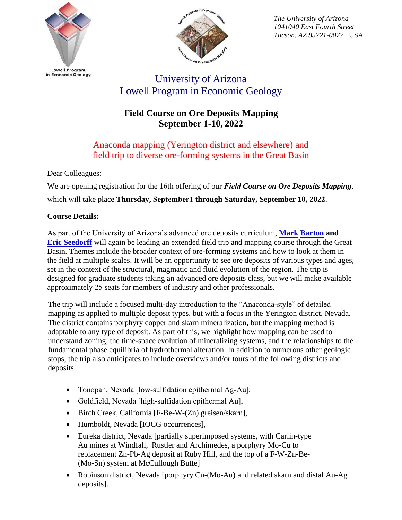



*The University of Arizona 1041040 East Fourth Street Tucson, AZ 85721-0077* USA

# University of Arizona Lowell Program in Economic Geology

### **Field Course on Ore Deposits Mapping September 1-10, 2022**

Anaconda mapping (Yerington district and elsewhere) and field trip to diverse ore-forming systems in the Great Basin

Dear Colleagues:

We are opening registration for the 16th offering of our *Field Course on Ore Deposits Mapping*, which will take place **Thursday, September1 through Saturday, September 10, 2022**.

### **Course Details:**

As part of the University of Arizona's advanced ore deposits curriculum, **[Mark](http://www.geo.arizona.edu/~mdbarton/index.html) [Barton](http://www.geo.arizona.edu/~mdbarton/index.html) and [Eric Seedorff](http://www.geo.arizona.edu/~seedorff/home/)** will again be leading an extended field trip and mapping course through the Great Basin. Themes include the broader context of ore-forming systems and how to look at them in the field at multiple scales. It will be an opportunity to see ore deposits of various types and ages, set in the context of the structural, magmatic and fluid evolution of the region. The trip is designed for graduate students taking an advanced ore deposits class, but we will make available approximately 25 seats for members of industry and other professionals.

The trip will include a focused multi-day introduction to the "Anaconda-style" of detailed mapping as applied to multiple deposit types, but with a focus in the Yerington district, Nevada. The district contains porphyry copper and skarn mineralization, but the mapping method is adaptable to any type of deposit. As part of this, we highlight how mapping can be used to understand zoning, the time-space evolution of mineralizing systems, and the relationships to the fundamental phase equilibria of hydrothermal alteration. In addition to numerous other geologic stops, the trip also anticipates to include overviews and/or tours of the following districts and deposits:

- Tonopah, Nevada [low-sulfidation epithermal Ag-Au],
- Goldfield, Nevada [high-sulfidation epithermal Au],
- Birch Creek, California [F-Be-W-(Zn) greisen/skarn],
- Humboldt, Nevada [IOCG occurrences],
- Eureka district, Nevada [partially superimposed systems, with Carlin-type Au mines at Windfall, Rustler and Archimedes, a porphyry Mo-Cu to replacement Zn-Pb-Ag deposit at Ruby Hill, and the top of a F-W-Zn-Be- (Mo-Sn) system at McCullough Butte]
- Robinson district, Nevada [porphyry Cu-(Mo-Au) and related skarn and distal Au-Ag deposits].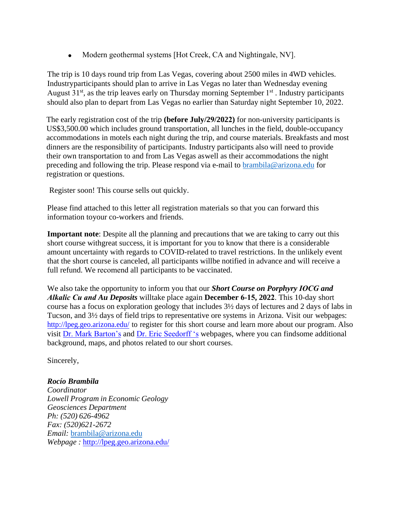• Modern geothermal systems [Hot Creek, CA and Nightingale, NV].

The trip is 10 days round trip from Las Vegas, covering about 2500 miles in 4WD vehicles. Industry participants should plan to arrive in Las Vegas no later than Wednesday evening August 31<sup>st</sup>, as the trip leaves early on Thursday morning September 1<sup>st</sup>. Industry participants should also plan to depart from Las Vegas no earlier than Saturday night September 10, 2022.

The early registration cost of the trip **(before July/29/2022)** for non-university participants is US\$3,500.00 which includes ground transportation, all lunches in the field, double-occupancy accommodations in motels each night during the trip, and course materials. Breakfasts and most dinners are the responsibility of participants. Industry participants also will need to provide their own transportation to an[d from Las Vegas asw](mailto:brambila@email.arizona.edu)[ell as their accommodat](mailto:brambila@arizona.edu)ions the night preceding and following the trip. Please respond via e-mail to brambila@arizona.edu for registration or questions.

Register soon! This course sells out quickly.

Please find attached to this letter all registration materials so that you can forward this information toyour co-workers and friends.

**Important note**: Despite all the planning and precautions that we are taking to carry out this short course with great success, it is important for you to know that there is a considerable amount uncertainty with regards to COVID-related to travel restrictions. In the unlikely event that the short course is canceled, all participants will be notified in advance and will receive a full refund. We recomend all participants to be vaccinated.

We also take the opportunity to inform you that our *Short Course on Porphyry IOCG and Alkalic Cu and Au Deposits* will take place again **December 6-15, 2022**. This 10-day short [course has a focus on explo](http://lpeg.geo.arizona.edu/)r[ation geology that includes 3½ days](http://lpeg.geo.arizona.edu/) [of lectures and 2 d](http://www.geo.arizona.edu/~mdbarton/LPEG-ShortCourses_MDB.html)ays of l[abs in](http://www.geo.arizona.edu/~seedorff/home/)  [Tucson,](http://www.geo.arizona.edu/~seedorff/home/) and 3½ days of field trips to representative ore systems in Arizona. Visit our webpages: http://lpeg.geo.arizona.edu/ to register for this short course and learn more about our program. Also visit Dr. Mark Barton's and Dr. Eric Seedorff 's webpages, where you can find some additional background, maps, and photos related to our short courses.

Sincerely,

#### *Rocío Brambila*

*Coordinator Lowell Program in Economic Geology Geosciences Department Ph: (5[20\) 626-4962](mailto:brambila@arizona.edu) [Fax: \(520\)](mailto:brambila@arizona.edu)[621-2672](http://lpeg.geo.arizona.edu/)  Email:* brambila@arizona.edu *Webpage :* http://lpeg.geo.arizona.edu/